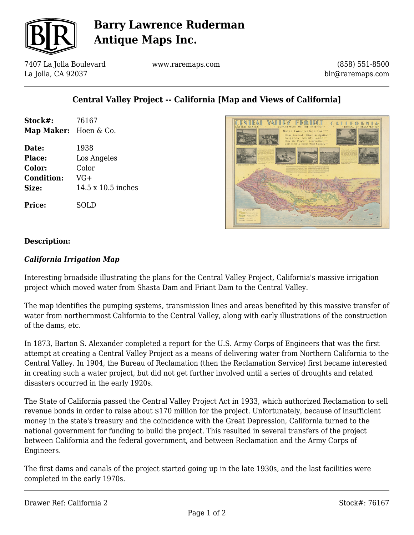

## **Barry Lawrence Ruderman Antique Maps Inc.**

7407 La Jolla Boulevard La Jolla, CA 92037

www.raremaps.com

(858) 551-8500 blr@raremaps.com

## **Central Valley Project -- California [Map and Views of California]**

| Stock#:               | 76167              |
|-----------------------|--------------------|
| Map Maker: Hoen & Co. |                    |
| Date:                 | 1938               |
| Place:                | Los Angeles        |
| Color:                | Color              |
| <b>Condition:</b>     | $VG+$              |
| Size:                 | 14.5 x 10.5 inches |
| <b>Price:</b>         | SOLD               |



#### **Description:**

#### *California Irrigation Map*

Interesting broadside illustrating the plans for the Central Valley Project, California's massive irrigation project which moved water from Shasta Dam and Friant Dam to the Central Valley.

The map identifies the pumping systems, transmission lines and areas benefited by this massive transfer of water from northernmost California to the Central Valley, along with early illustrations of the construction of the dams, etc.

In 1873, Barton S. Alexander completed a report for the U.S. Army Corps of Engineers that was the first attempt at creating a Central Valley Project as a means of delivering water from Northern California to the Central Valley. In 1904, the Bureau of Reclamation (then the Reclamation Service) first became interested in creating such a water project, but did not get further involved until a series of droughts and related disasters occurred in the early 1920s.

The State of California passed the Central Valley Project Act in 1933, which authorized Reclamation to sell revenue bonds in order to raise about \$170 million for the project. Unfortunately, because of insufficient money in the state's treasury and the coincidence with the Great Depression, California turned to the national government for funding to build the project. This resulted in several transfers of the project between California and the federal government, and between Reclamation and the Army Corps of Engineers.

The first dams and canals of the project started going up in the late 1930s, and the last facilities were completed in the early 1970s.